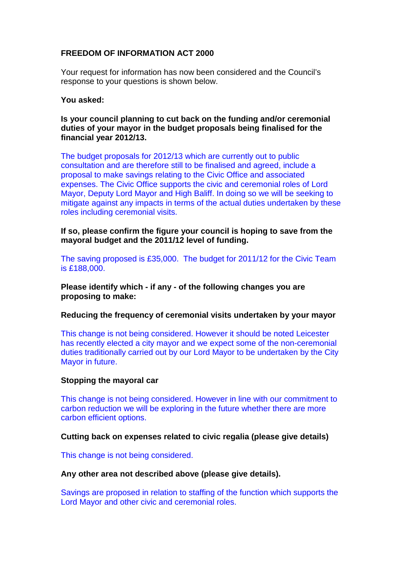# **FREEDOM OF INFORMATION ACT 2000**

Your request for information has now been considered and the Council's response to your questions is shown below.

## **You asked:**

## **Is your council planning to cut back on the funding and/or ceremonial duties of your mayor in the budget proposals being finalised for the financial year 2012/13.**

The budget proposals for 2012/13 which are currently out to public consultation and are therefore still to be finalised and agreed, include a proposal to make savings relating to the Civic Office and associated expenses. The Civic Office supports the civic and ceremonial roles of Lord Mayor, Deputy Lord Mayor and High Baliff. In doing so we will be seeking to mitigate against any impacts in terms of the actual duties undertaken by these roles including ceremonial visits.

**If so, please confirm the figure your council is hoping to save from the mayoral budget and the 2011/12 level of funding.**

The saving proposed is £35,000. The budget for 2011/12 for the Civic Team is £188,000.

**Please identify which - if any - of the following changes you are proposing to make:**

## **Reducing the frequency of ceremonial visits undertaken by your mayor**

This change is not being considered. However it should be noted Leicester has recently elected a city mayor and we expect some of the non-ceremonial duties traditionally carried out by our Lord Mayor to be undertaken by the City Mayor in future.

## **Stopping the mayoral car**

This change is not being considered. However in line with our commitment to carbon reduction we will be exploring in the future whether there are more carbon efficient options.

## **Cutting back on expenses related to civic regalia (please give details)**

This change is not being considered.

#### **Any other area not described above (please give details).**

Savings are proposed in relation to staffing of the function which supports the Lord Mayor and other civic and ceremonial roles.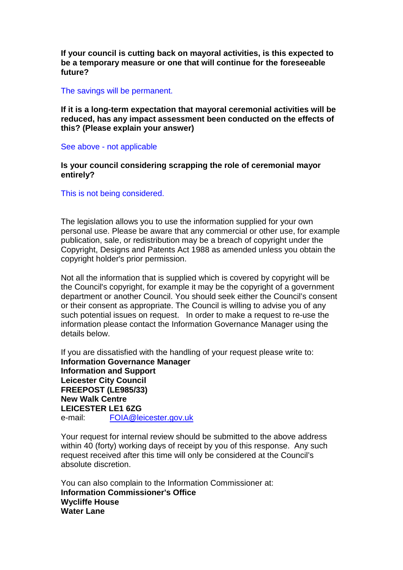**If your council is cutting back on mayoral activities, is this expected to be a temporary measure or one that will continue for the foreseeable future?** 

#### The savings will be permanent.

**If it is a long-term expectation that mayoral ceremonial activities will be reduced, has any impact assessment been conducted on the effects of this? (Please explain your answer)** 

#### See above - not applicable

## **Is your council considering scrapping the role of ceremonial mayor entirely?**

This is not being considered.

The legislation allows you to use the information supplied for your own personal use. Please be aware that any commercial or other use, for example publication, sale, or redistribution may be a breach of copyright under the Copyright, Designs and Patents Act 1988 as amended unless you obtain the copyright holder's prior permission.

Not all the information that is supplied which is covered by copyright will be the Council's copyright, for example it may be the copyright of a government department or another Council. You should seek either the Council's consent or their consent as appropriate. The Council is willing to advise you of any such potential issues on request. In order to make a request to re-use the information please contact the Information Governance Manager using the details below.

If you are dissatisfied with the handling of your request please write to: **Information Governance Manager Information and Support Leicester City Council FREEPOST (LE985/33) New Walk Centre LEICESTER LE1 6ZG**  e-mail: FOIA@leicester.gov.uk

Your request for internal review should be submitted to the above address within 40 (forty) working days of receipt by you of this response. Any such request received after this time will only be considered at the Council's absolute discretion.

You can also complain to the Information Commissioner at: **Information Commissioner's Office Wycliffe House Water Lane**